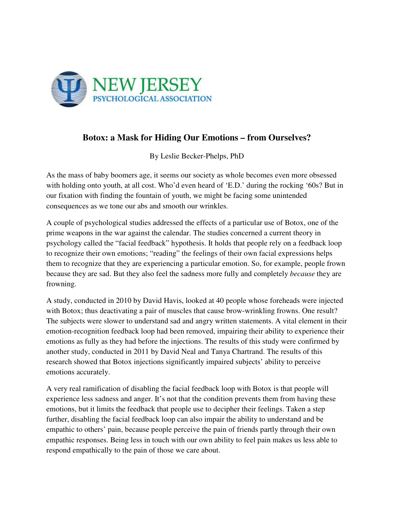

## **Botox: a Mask for Hiding Our Emotions – from Ourselves?**

By Leslie Becker-Phelps, PhD

As the mass of baby boomers age, it seems our society as whole becomes even more obsessed with holding onto youth, at all cost. Who'd even heard of 'E.D.' during the rocking '60s? But in our fixation with finding the fountain of youth, we might be facing some unintended consequences as we tone our abs and smooth our wrinkles.

A couple of psychological studies addressed the effects of a particular use of Botox, one of the prime weapons in the war against the calendar. The studies concerned a current theory in psychology called the "facial feedback" hypothesis. It holds that people rely on a feedback loop to recognize their own emotions; "reading" the feelings of their own facial expressions helps them to recognize that they are experiencing a particular emotion. So, for example, people frown because they are sad. But they also feel the sadness more fully and completely *because* they are frowning.

A study, conducted in 2010 by David Havis, looked at 40 people whose foreheads were injected with Botox; thus deactivating a pair of muscles that cause brow-wrinkling frowns. One result? The subjects were slower to understand sad and angry written statements. A vital element in their emotion-recognition feedback loop had been removed, impairing their ability to experience their emotions as fully as they had before the injections. The results of this study were confirmed by another study, conducted in 2011 by David Neal and Tanya Chartrand. The results of this research showed that Botox injections significantly impaired subjects' ability to perceive emotions accurately.

A very real ramification of disabling the facial feedback loop with Botox is that people will experience less sadness and anger. It's not that the condition prevents them from having these emotions, but it limits the feedback that people use to decipher their feelings. Taken a step further, disabling the facial feedback loop can also impair the ability to understand and be empathic to others' pain, because people perceive the pain of friends partly through their own empathic responses. Being less in touch with our own ability to feel pain makes us less able to respond empathically to the pain of those we care about.